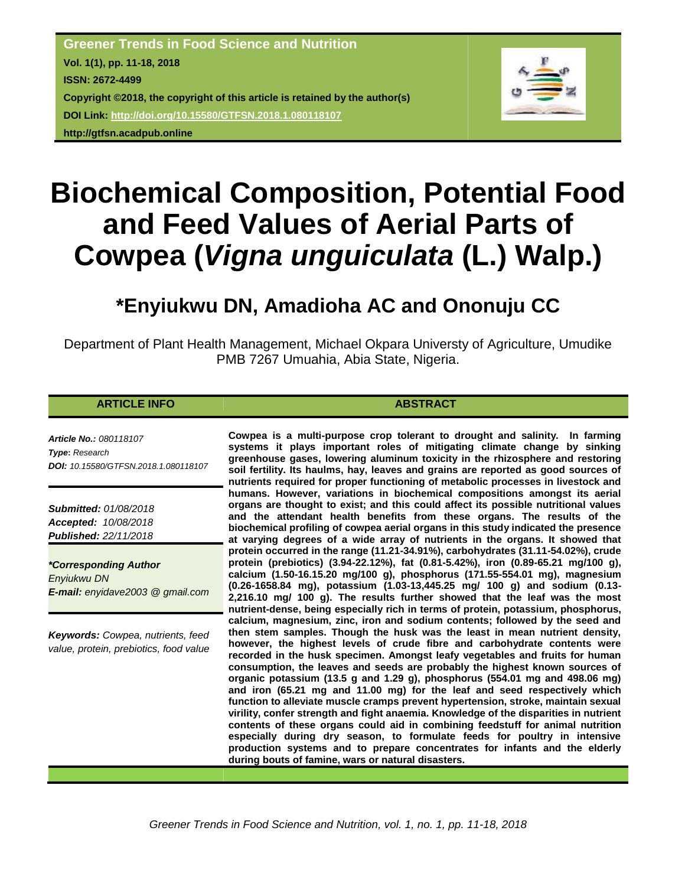

# **Biochemical Composition, Potential Food and Feed Values of Aerial Parts of Cowpea (***Vigna unguiculata* **(L.) Walp.)**

## **\*Enyiukwu DN, Amadioha AC and Ononuju CC**

Department of Plant Health Management, Michael Okpara Universty of Agriculture, Umudike PMB 7267 Umuahia, Abia State, Nigeria.

#### **ARTICLE INFO ABSTRACT**

*Article No.: 080118107 Type***:** *Research DOI: 10.15580/GTFSN.2018.1.080118107*

*Submitted: 01/08/2018 Accepted: 10/08/2018 Published: 22/11/2018*

*\*Corresponding Author Enyiukwu DN E-mail: enyidave2003 @ gmail.com*

*Keywords: Cowpea, nutrients, feed value, protein, prebiotics, food value*

**Cowpea is a multi-purpose crop tolerant to drought and salinity. In farming systems it plays important roles of mitigating climate change by sinking greenhouse gases, lowering aluminum toxicity in the rhizosphere and restoring soil fertility. Its haulms, hay, leaves and grains are reported as good sources of nutrients required for proper functioning of metabolic processes in livestock and humans. However, variations in biochemical compositions amongst its aerial organs are thought to exist; and this could affect its possible nutritional values and the attendant health benefits from these organs. The results of the biochemical profiling of cowpea aerial organs in this study indicated the presence at varying degrees of a wide array of nutrients in the organs. It showed that protein occurred in the range (11.21-34.91%), carbohydrates (31.11-54.02%), crude protein (prebiotics) (3.94-22.12%), fat (0.81-5.42%), iron (0.89-65.21 mg/100 g), calcium (1.50-16.15.20 mg/100 g), phosphorus (171.55-554.01 mg), magnesium (0.26-1658.84 mg), potassium (1.03-13,445.25 mg/ 100 g) and sodium (0.13- 2,216.10 mg/ 100 g). The results further showed that the leaf was the most nutrient-dense, being especially rich in terms of protein, potassium, phosphorus, calcium, magnesium, zinc, iron and sodium contents; followed by the seed and then stem samples. Though the husk was the least in mean nutrient density, however, the highest levels of crude fibre and carbohydrate contents were recorded in the husk specimen. Amongst leafy vegetables and fruits for human consumption, the leaves and seeds are probably the highest known sources of organic potassium (13.5 g and 1.29 g), phosphorus (554.01 mg and 498.06 mg) and iron (65.21 mg and 11.00 mg) for the leaf and seed respectively which function to alleviate muscle cramps prevent hypertension, stroke, maintain sexual virility, confer strength and fight anaemia. Knowledge of the disparities in nutrient contents of these organs could aid in combining feedstuff for animal nutrition especially during dry season, to formulate feeds for poultry in intensive production systems and to prepare concentrates for infants and the elderly during bouts of famine, wars or natural disasters.**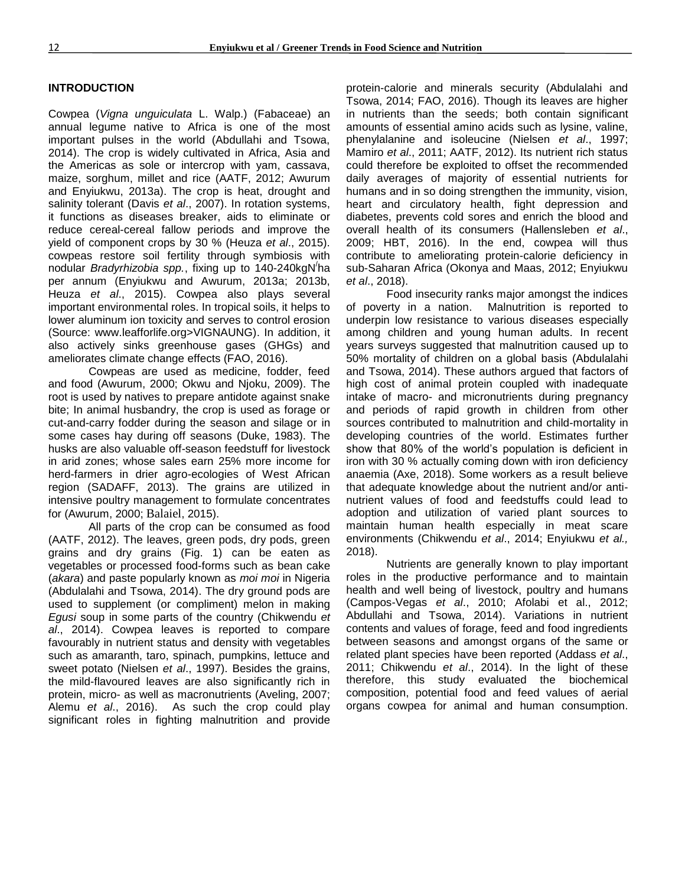#### **INTRODUCTION**

Cowpea (*Vigna unguiculata* L. Walp.) (Fabaceae) an annual legume native to Africa is one of the most important pulses in the world (Abdullahi and Tsowa, 2014). The crop is widely cultivated in Africa, Asia and the Americas as sole or intercrop with yam, cassava, maize, sorghum, millet and rice (AATF, 2012; Awurum and Enyiukwu, 2013a). The crop is heat, drought and salinity tolerant (Davis *et al*., 2007). In rotation systems, it functions as diseases breaker, aids to eliminate or reduce cereal-cereal fallow periods and improve the yield of component crops by 30 % (Heuza *et al*., 2015). cowpeas restore soil fertility through symbiosis with nodular *Bradyrhizobia spp.*, fixing up to 140-240kgN/ ha per annum (Enyiukwu and Awurum, 2013a; 2013b, Heuza *et al*., 2015). Cowpea also plays several important environmental roles. In tropical soils, it helps to lower aluminum ion toxicity and serves to control erosion (Source: www.leafforlife.org>VIGNAUNG). In addition, it also actively sinks greenhouse gases (GHGs) and ameliorates climate change effects (FAO, 2016).

Cowpeas are used as medicine, fodder, feed and food (Awurum, 2000; Okwu and Njoku, 2009). The root is used by natives to prepare antidote against snake bite; In animal husbandry, the crop is used as forage or cut-and-carry fodder during the season and silage or in some cases hay during off seasons (Duke, 1983). The husks are also valuable off-season feedstuff for livestock in arid zones; whose sales earn 25% more income for herd-farmers in drier agro-ecologies of West African region (SADAFF, 2013). The grains are utilized in intensive poultry management to formulate concentrates for (Awurum, 2000; Balaiel, 2015).

All parts of the crop can be consumed as food (AATF, 2012). The leaves, green pods, dry pods, green grains and dry grains (Fig. 1) can be eaten as vegetables or processed food-forms such as bean cake (*akara*) and paste popularly known as *moi moi* in Nigeria (Abdulalahi and Tsowa, 2014). The dry ground pods are used to supplement (or compliment) melon in making *Egusi* soup in some parts of the country (Chikwendu *et al*., 2014). Cowpea leaves is reported to compare favourably in nutrient status and density with vegetables such as amaranth, taro, spinach, pumpkins, lettuce and sweet potato (Nielsen *et al*., 1997). Besides the grains, the mild-flavoured leaves are also significantly rich in protein, micro- as well as macronutrients (Aveling, 2007; Alemu *et al*., 2016). As such the crop could play significant roles in fighting malnutrition and provide protein-calorie and minerals security (Abdulalahi and Tsowa, 2014; FAO, 2016). Though its leaves are higher in nutrients than the seeds; both contain significant amounts of essential amino acids such as lysine, valine, phenylalanine and isoleucine (Nielsen *et al*., 1997; Mamiro *et al*., 2011; AATF, 2012). Its nutrient rich status could therefore be exploited to offset the recommended daily averages of majority of essential nutrients for humans and in so doing strengthen the immunity, vision, heart and circulatory health, fight depression and diabetes, prevents cold sores and enrich the blood and overall health of its consumers (Hallensleben *et al*., 2009; HBT, 2016). In the end, cowpea will thus contribute to ameliorating protein-calorie deficiency in sub-Saharan Africa (Okonya and Maas, 2012; Enyiukwu *et al*., 2018).

Food insecurity ranks major amongst the indices of poverty in a nation. Malnutrition is reported to underpin low resistance to various diseases especially among children and young human adults. In recent years surveys suggested that malnutrition caused up to 50% mortality of children on a global basis (Abdulalahi and Tsowa, 2014). These authors argued that factors of high cost of animal protein coupled with inadequate intake of macro- and micronutrients during pregnancy and periods of rapid growth in children from other sources contributed to malnutrition and child-mortality in developing countries of the world. Estimates further show that 80% of the world's population is deficient in iron with 30 % actually coming down with iron deficiency anaemia (Axe, 2018). Some workers as a result believe that adequate knowledge about the nutrient and/or antinutrient values of food and feedstuffs could lead to adoption and utilization of varied plant sources to maintain human health especially in meat scare environments (Chikwendu *et al*., 2014; Enyiukwu *et al.,* 2018).

Nutrients are generally known to play important roles in the productive performance and to maintain health and well being of livestock, poultry and humans (Campos-Vegas *et al*., 2010; Afolabi et al., 2012; Abdullahi and Tsowa, 2014). Variations in nutrient contents and values of forage, feed and food ingredients between seasons and amongst organs of the same or related plant species have been reported (Addass *et al*., 2011; Chikwendu *et al*., 2014). In the light of these therefore, this study evaluated the biochemical composition, potential food and feed values of aerial organs cowpea for animal and human consumption.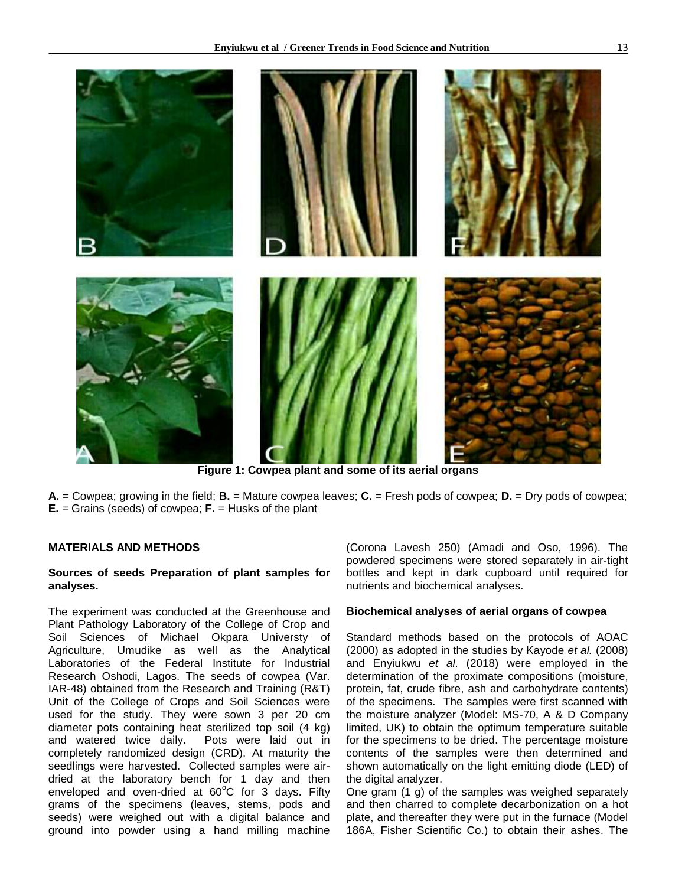

**Figure 1: Cowpea plant and some of its aerial organs**

**A.** = Cowpea; growing in the field; **B.** = Mature cowpea leaves; **C.** = Fresh pods of cowpea; **D.** = Dry pods of cowpea; **E.** = Grains (seeds) of cowpea; **F.** = Husks of the plant

### **MATERIALS AND METHODS**

#### **Sources of seeds Preparation of plant samples for analyses.**

The experiment was conducted at the Greenhouse and Plant Pathology Laboratory of the College of Crop and Soil Sciences of Michael Okpara Universty of Agriculture, Umudike as well as the Analytical Laboratories of the Federal Institute for Industrial Research Oshodi, Lagos. The seeds of cowpea (Var. IAR-48) obtained from the Research and Training (R&T) Unit of the College of Crops and Soil Sciences were used for the study. They were sown 3 per 20 cm diameter pots containing heat sterilized top soil (4 kg) and watered twice daily. Pots were laid out in completely randomized design (CRD). At maturity the seedlings were harvested. Collected samples were airdried at the laboratory bench for 1 day and then enveloped and oven-dried at  $60^{\circ}$ C for 3 days. Fifty grams of the specimens (leaves, stems, pods and seeds) were weighed out with a digital balance and ground into powder using a hand milling machine

(Corona Lavesh 250) (Amadi and Oso, 1996). The powdered specimens were stored separately in air-tight bottles and kept in dark cupboard until required for nutrients and biochemical analyses.

#### **Biochemical analyses of aerial organs of cowpea**

Standard methods based on the protocols of AOAC (2000) as adopted in the studies by Kayode *et al.* (2008) and Enyiukwu *et al*. (2018) were employed in the determination of the proximate compositions (moisture, protein, fat, crude fibre, ash and carbohydrate contents) of the specimens. The samples were first scanned with the moisture analyzer (Model: MS-70, A & D Company limited, UK) to obtain the optimum temperature suitable for the specimens to be dried. The percentage moisture contents of the samples were then determined and shown automatically on the light emitting diode (LED) of the digital analyzer.

One gram (1 g) of the samples was weighed separately and then charred to complete decarbonization on a hot plate, and thereafter they were put in the furnace (Model 186A, Fisher Scientific Co.) to obtain their ashes. The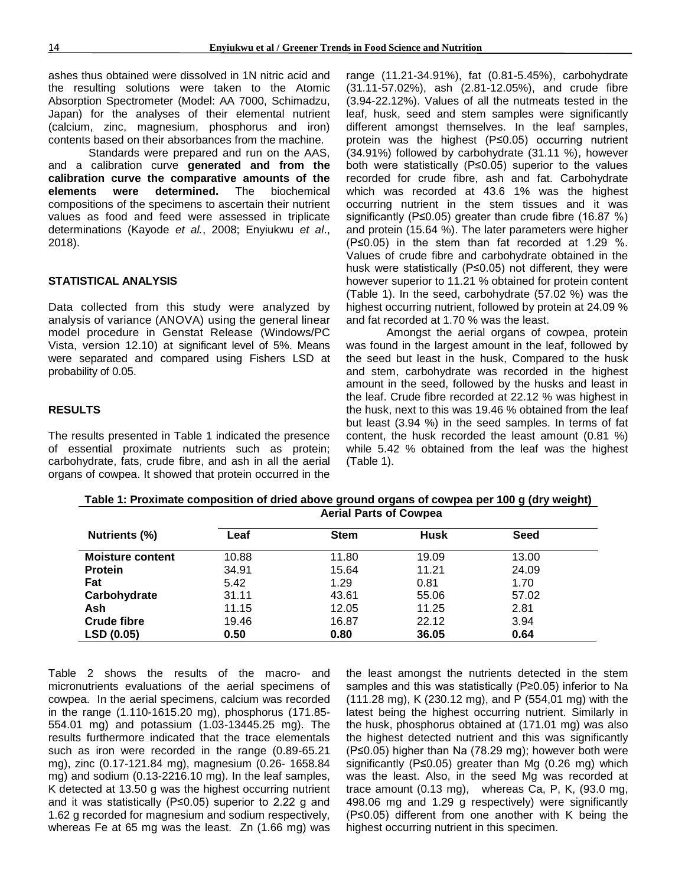ashes thus obtained were dissolved in 1N nitric acid and the resulting solutions were taken to the Atomic Absorption Spectrometer (Model: AA 7000, Schimadzu, Japan) for the analyses of their elemental nutrient (calcium, zinc, magnesium, phosphorus and iron) contents based on their absorbances from the machine.

Standards were prepared and run on the AAS, and a calibration curve **generated and from the calibration curve the comparative amounts of the elements were determined.** The biochemical compositions of the specimens to ascertain their nutrient values as food and feed were assessed in triplicate determinations (Kayode *et al.*, 2008; Enyiukwu *et al*., 2018).

#### **STATISTICAL ANALYSIS**

Data collected from this study were analyzed by analysis of variance (ANOVA) using the general linear model procedure in Genstat Release (Windows/PC Vista, version 12.10) at significant level of 5%. Means were separated and compared using Fishers LSD at probability of 0.05.

#### **RESULTS**

The results presented in Table 1 indicated the presence of essential proximate nutrients such as protein; carbohydrate, fats, crude fibre, and ash in all the aerial organs of cowpea. It showed that protein occurred in the range (11.21-34.91%), fat (0.81-5.45%), carbohydrate (31.11-57.02%), ash (2.81-12.05%), and crude fibre (3.94-22.12%). Values of all the nutmeats tested in the leaf, husk, seed and stem samples were significantly different amongst themselves. In the leaf samples, protein was the highest (P≤0.05) occurring nutrient (34.91%) followed by carbohydrate (31.11 %), however both were statistically (P≤0.05) superior to the values recorded for crude fibre, ash and fat. Carbohydrate which was recorded at 43.6 1% was the highest occurring nutrient in the stem tissues and it was significantly (P≤0.05) greater than crude fibre (16.87 %) and protein (15.64 %). The later parameters were higher (P≤0.05) in the stem than fat recorded at 1.29 %. Values of crude fibre and carbohydrate obtained in the husk were statistically (P≤0.05) not different, they were however superior to 11.21 % obtained for protein content (Table 1). In the seed, carbohydrate (57.02 %) was the highest occurring nutrient, followed by protein at 24.09 % and fat recorded at 1.70 % was the least.

Amongst the aerial organs of cowpea, protein was found in the largest amount in the leaf, followed by the seed but least in the husk, Compared to the husk and stem, carbohydrate was recorded in the highest amount in the seed, followed by the husks and least in the leaf. Crude fibre recorded at 22.12 % was highest in the husk, next to this was 19.46 % obtained from the leaf but least (3.94 %) in the seed samples. In terms of fat content, the husk recorded the least amount (0.81 %) while 5.42 % obtained from the leaf was the highest (Table 1).

| Nutrients (%)           | <b>Aerial Parts of Cowpea</b> |             |             |       |  |
|-------------------------|-------------------------------|-------------|-------------|-------|--|
|                         | Leaf                          | <b>Stem</b> | <b>Husk</b> | Seed  |  |
| <b>Moisture content</b> | 10.88                         | 11.80       | 19.09       | 13.00 |  |
| <b>Protein</b>          | 34.91                         | 15.64       | 11.21       | 24.09 |  |
| Fat                     | 5.42                          | 1.29        | 0.81        | 1.70  |  |
| Carbohydrate            | 31.11                         | 43.61       | 55.06       | 57.02 |  |
| Ash                     | 11.15                         | 12.05       | 11.25       | 2.81  |  |
| <b>Crude fibre</b>      | 19.46                         | 16.87       | 22.12       | 3.94  |  |
| LSD (0.05)              | 0.50                          | 0.80        | 36.05       | 0.64  |  |

**Table 1: Proximate composition of dried above ground organs of cowpea per 100 g (dry weight) Aerial Parts of Cowpea**

Table 2 shows the results of the macro- and micronutrients evaluations of the aerial specimens of cowpea. In the aerial specimens, calcium was recorded in the range (1.110-1615.20 mg), phosphorus (171.85- 554.01 mg) and potassium (1.03-13445.25 mg). The results furthermore indicated that the trace elementals such as iron were recorded in the range (0.89-65.21 mg), zinc (0.17-121.84 mg), magnesium (0.26- 1658.84 mg) and sodium (0.13-2216.10 mg). In the leaf samples, K detected at 13.50 g was the highest occurring nutrient and it was statistically (P≤0.05) superior to 2.22 g and 1.62 g recorded for magnesium and sodium respectively, whereas Fe at 65 mg was the least. Zn (1.66 mg) was the least amongst the nutrients detected in the stem samples and this was statistically (P≥0.05) inferior to Na (111.28 mg), K (230.12 mg), and P (554,01 mg) with the latest being the highest occurring nutrient. Similarly in the husk, phosphorus obtained at (171.01 mg) was also the highest detected nutrient and this was significantly (P≤0.05) higher than Na (78.29 mg); however both were significantly (P≤0.05) greater than Mg (0.26 mg) which was the least. Also, in the seed Mg was recorded at trace amount (0.13 mg), whereas Ca, P, K, (93.0 mg, 498.06 mg and 1.29 g respectively) were significantly (P≤0.05) different from one another with K being the highest occurring nutrient in this specimen.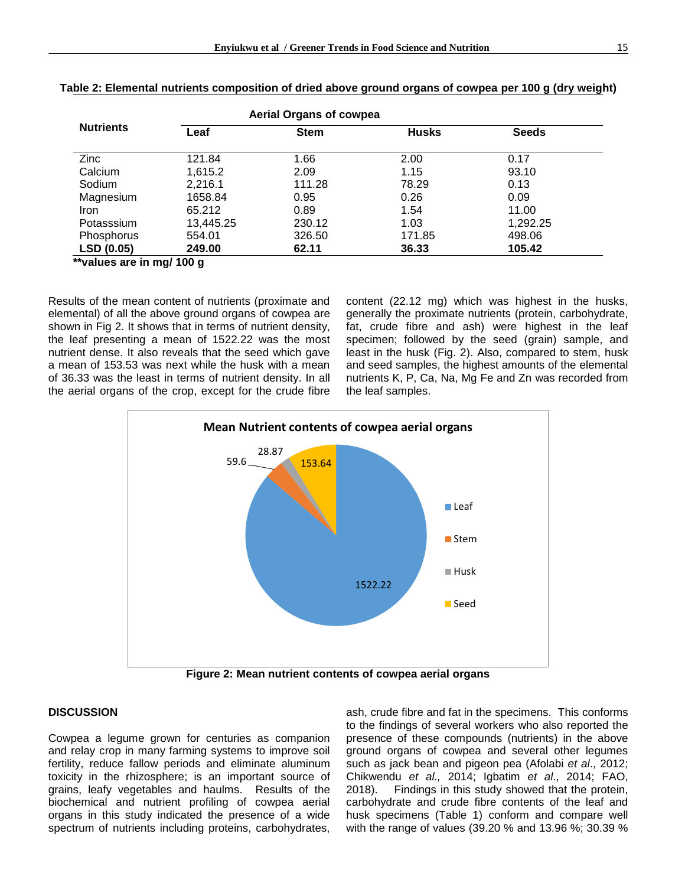|                   |             | <b>Aerial Organs of cowpea</b> |              |              |
|-------------------|-------------|--------------------------------|--------------|--------------|
| <b>Nutrients</b>  | Leaf        | <b>Stem</b>                    | <b>Husks</b> | <b>Seeds</b> |
| Zinc              | 121.84      | 1.66                           | 2.00         | 0.17         |
| Calcium           | 1.615.2     | 2.09                           | 1.15         | 93.10        |
| Sodium            | 2,216.1     | 111.28                         | 78.29        | 0.13         |
| Magnesium         | 1658.84     | 0.95                           | 0.26         | 0.09         |
| <b>Iron</b>       | 65.212      | 0.89                           | 1.54         | 11.00        |
| Potasssium        | 13,445.25   | 230.12                         | 1.03         | 1,292.25     |
| Phosphorus        | 554.01      | 326.50                         | 171.85       | 498.06       |
| <b>LSD (0.05)</b> | 249.00<br>. | 62.11                          | 36.33        | 105.42       |

 **\*\*values are in mg/ 100 g**

Results of the mean content of nutrients (proximate and elemental) of all the above ground organs of cowpea are shown in Fig 2. It shows that in terms of nutrient density, the leaf presenting a mean of 1522.22 was the most nutrient dense. It also reveals that the seed which gave a mean of 153.53 was next while the husk with a mean of 36.33 was the least in terms of nutrient density. In all the aerial organs of the crop, except for the crude fibre content (22.12 mg) which was highest in the husks, generally the proximate nutrients (protein, carbohydrate, fat, crude fibre and ash) were highest in the leaf specimen; followed by the seed (grain) sample, and least in the husk (Fig. 2). Also, compared to stem, husk and seed samples, the highest amounts of the elemental nutrients K, P, Ca, Na, Mg Fe and Zn was recorded from the leaf samples.



**Figure 2: Mean nutrient contents of cowpea aerial organs**

#### **DISCUSSION**

Cowpea a legume grown for centuries as companion and relay crop in many farming systems to improve soil fertility, reduce fallow periods and eliminate aluminum toxicity in the rhizosphere; is an important source of grains, leafy vegetables and haulms. Results of the biochemical and nutrient profiling of cowpea aerial organs in this study indicated the presence of a wide spectrum of nutrients including proteins, carbohydrates,

ash, crude fibre and fat in the specimens. This conforms to the findings of several workers who also reported the presence of these compounds (nutrients) in the above ground organs of cowpea and several other legumes such as jack bean and pigeon pea (Afolabi *et al*., 2012; Chikwendu *et al.,* 2014; Igbatim *et al*., 2014; FAO, 2018). Findings in this study showed that the protein, carbohydrate and crude fibre contents of the leaf and husk specimens (Table 1) conform and compare well with the range of values (39.20 % and 13.96 %; 30.39 %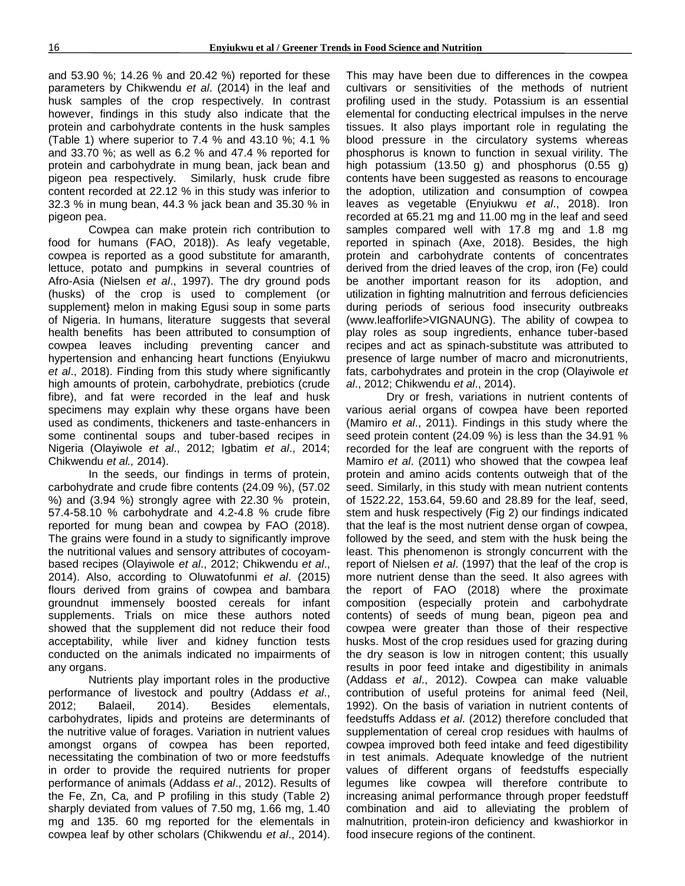and 53.90 %; 14.26 % and 20.42 %) reported for these parameters by Chikwendu *et al*. (2014) in the leaf and husk samples of the crop respectively. In contrast however, findings in this study also indicate that the protein and carbohydrate contents in the husk samples (Table 1) where superior to 7.4 % and 43.10 %; 4.1 % and 33.70 %; as well as 6.2 % and 47.4 % reported for protein and carbohydrate in mung bean, jack bean and pigeon pea respectively. Similarly, husk crude fibre content recorded at 22.12 % in this study was inferior to 32.3 % in mung bean, 44.3 % jack bean and 35.30 % in pigeon pea.

Cowpea can make protein rich contribution to food for humans (FAO, 2018)). As leafy vegetable, cowpea is reported as a good substitute for amaranth, lettuce, potato and pumpkins in several countries of Afro-Asia (Nielsen *et al*., 1997). The dry ground pods (husks) of the crop is used to complement (or supplement} melon in making Egusi soup in some parts of Nigeria. In humans, literature suggests that several health benefits has been attributed to consumption of cowpea leaves including preventing cancer and hypertension and enhancing heart functions (Enyiukwu *et al*., 2018). Finding from this study where significantly high amounts of protein, carbohydrate, prebiotics (crude fibre), and fat were recorded in the leaf and husk specimens may explain why these organs have been used as condiments, thickeners and taste-enhancers in some continental soups and tuber-based recipes in Nigeria (Olayiwole *et al*., 2012; Igbatim *et al*., 2014; Chikwendu *et al.,* 2014).

In the seeds, our findings in terms of protein, carbohydrate and crude fibre contents (24.09 %), (57.02 %) and (3.94 %) strongly agree with 22.30 % protein, 57.4-58.10 % carbohydrate and 4.2-4.8 % crude fibre reported for mung bean and cowpea by FAO (2018). The grains were found in a study to significantly improve the nutritional values and sensory attributes of cocoyambased recipes (Olayiwole *et al*., 2012; Chikwendu *et al*., 2014). Also, according to Oluwatofunmi *et al*. (2015) flours derived from grains of cowpea and bambara groundnut immensely boosted cereals for infant supplements. Trials on mice these authors noted showed that the supplement did not reduce their food acceptability, while liver and kidney function tests conducted on the animals indicated no impairments of any organs.

Nutrients play important roles in the productive performance of livestock and poultry (Addass *et al*., 2012; Balaeil, 2014). Besides elementals, carbohydrates, lipids and proteins are determinants of the nutritive value of forages. Variation in nutrient values amongst organs of cowpea has been reported, necessitating the combination of two or more feedstuffs in order to provide the required nutrients for proper performance of animals (Addass *et al*., 2012). Results of the Fe, Zn, Ca, and P profiling in this study (Table 2) sharply deviated from values of 7.50 mg, 1.66 mg, 1.40 mg and 135. 60 mg reported for the elementals in cowpea leaf by other scholars (Chikwendu *et al*., 2014). This may have been due to differences in the cowpea cultivars or sensitivities of the methods of nutrient profiling used in the study. Potassium is an essential elemental for conducting electrical impulses in the nerve tissues. It also plays important role in regulating the blood pressure in the circulatory systems whereas phosphorus is known to function in sexual virility. The high potassium (13.50 g) and phosphorus (0.55 g) contents have been suggested as reasons to encourage the adoption, utilization and consumption of cowpea leaves as vegetable (Enyiukwu *et al*., 2018). Iron recorded at 65.21 mg and 11.00 mg in the leaf and seed samples compared well with 17.8 mg and 1.8 mg reported in spinach (Axe, 2018). Besides, the high protein and carbohydrate contents of concentrates derived from the dried leaves of the crop, iron (Fe) could be another important reason for its adoption, and utilization in fighting malnutrition and ferrous deficiencies during periods of serious food insecurity outbreaks (www.leafforlife>VIGNAUNG). The ability of cowpea to play roles as soup ingredients, enhance tuber-based recipes and act as spinach-substitute was attributed to presence of large number of macro and micronutrients, fats, carbohydrates and protein in the crop (Olayiwole *et al*., 2012; Chikwendu *et al*., 2014).

Dry or fresh, variations in nutrient contents of various aerial organs of cowpea have been reported (Mamiro *et al*., 2011). Findings in this study where the seed protein content (24.09 %) is less than the 34.91 % recorded for the leaf are congruent with the reports of Mamiro *et al*. (2011) who showed that the cowpea leaf protein and amino acids contents outweigh that of the seed. Similarly, in this study with mean nutrient contents of 1522.22, 153.64, 59.60 and 28.89 for the leaf, seed, stem and husk respectively (Fig 2) our findings indicated that the leaf is the most nutrient dense organ of cowpea, followed by the seed, and stem with the husk being the least. This phenomenon is strongly concurrent with the report of Nielsen *et al*. (1997) that the leaf of the crop is more nutrient dense than the seed. It also agrees with the report of FAO (2018) where the proximate composition (especially protein and carbohydrate contents) of seeds of mung bean, pigeon pea and cowpea were greater than those of their respective husks. Most of the crop residues used for grazing during the dry season is low in nitrogen content; this usually results in poor feed intake and digestibility in animals (Addass *et al*., 2012). Cowpea can make valuable contribution of useful proteins for animal feed (Neil, 1992). On the basis of variation in nutrient contents of feedstuffs Addass *et al*. (2012) therefore concluded that supplementation of cereal crop residues with haulms of cowpea improved both feed intake and feed digestibility in test animals. Adequate knowledge of the nutrient values of different organs of feedstuffs especially legumes like cowpea will therefore contribute to increasing animal performance through proper feedstuff combination and aid to alleviating the problem of malnutrition, protein-iron deficiency and kwashiorkor in food insecure regions of the continent.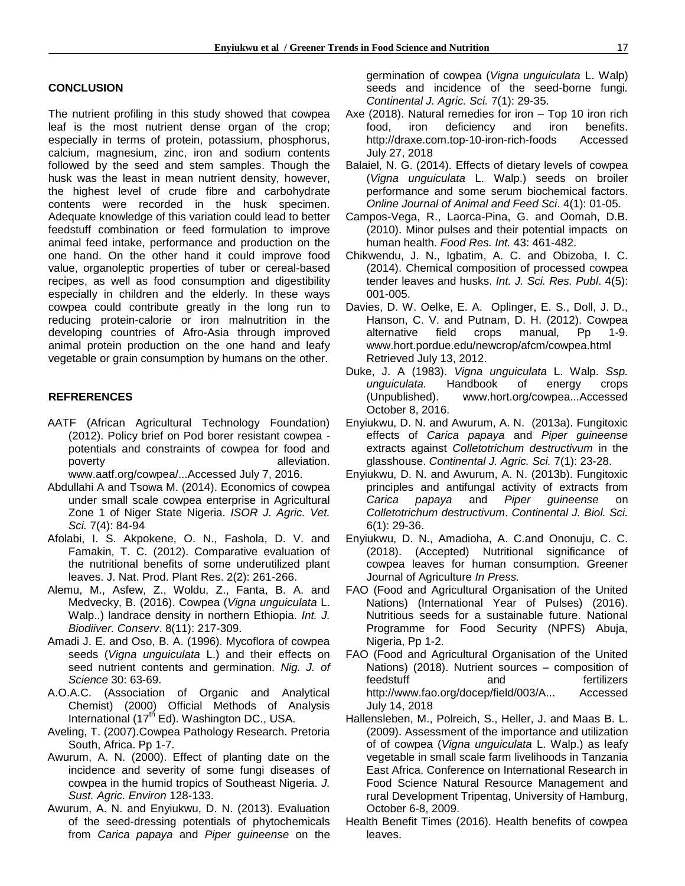#### **CONCLUSION**

The nutrient profiling in this study showed that cowpea leaf is the most nutrient dense organ of the crop; especially in terms of protein, potassium, phosphorus, calcium, magnesium, zinc, iron and sodium contents followed by the seed and stem samples. Though the husk was the least in mean nutrient density, however, the highest level of crude fibre and carbohydrate contents were recorded in the husk specimen. Adequate knowledge of this variation could lead to better feedstuff combination or feed formulation to improve animal feed intake, performance and production on the one hand. On the other hand it could improve food value, organoleptic properties of tuber or cereal-based recipes, as well as food consumption and digestibility especially in children and the elderly. In these ways cowpea could contribute greatly in the long run to reducing protein-calorie or iron malnutrition in the developing countries of Afro-Asia through improved animal protein production on the one hand and leafy vegetable or grain consumption by humans on the other.

### **REFRERENCES**

- AATF (African Agricultural Technology Foundation) (2012). Policy brief on Pod borer resistant cowpea potentials and constraints of cowpea for food and poverty **alleviation**. [www.aatf.org/cowpea/...Accessed](http://www.aatf.org/cowpea/...Accessed) July 7, 2016.
- Abdullahi A and Tsowa M. (2014). Economics of cowpea under small scale cowpea enterprise in Agricultural Zone 1 of Niger State Nigeria. *ISOR J. Agric. Vet. Sci.* 7(4): 84-94
- Afolabi, I. S. Akpokene, O. N., Fashola, D. V. and Famakin, T. C. (2012). Comparative evaluation of the nutritional benefits of some underutilized plant leaves. J. Nat. Prod. Plant Res. 2(2): 261-266.
- Alemu, M., Asfew, Z., Woldu, Z., Fanta, B. A. and Medvecky, B. (2016). Cowpea (*Vigna unguiculata* L. Walp..) landrace density in northern Ethiopia. *Int. J. Biodiiver. Conserv*. 8(11): 217-309.
- Amadi J. E. and Oso, B. A. (1996). Mycoflora of cowpea seeds (*Vigna unguiculata* L.) and their effects on seed nutrient contents and germination. *Nig. J. of Science* 30: 63-69.
- A.O.A.C. (Association of Organic and Analytical Chemist) (2000) Official Methods of Analysis International  $(17<sup>th</sup> Ed)$ . Washington DC., USA.
- Aveling, T. (2007).Cowpea Pathology Research. Pretoria South, Africa. Pp 1-7.
- Awurum, A. N. (2000). Effect of planting date on the incidence and severity of some fungi diseases of cowpea in the humid tropics of Southeast Nigeria. *J. Sust. Agric. Environ* 128-133.
- Awurum, A. N. and Enyiukwu, D. N. (2013). Evaluation of the seed-dressing potentials of phytochemicals from *Carica papaya* and *Piper guineense* on the

germination of cowpea (*Vigna unguiculata* L. Walp) seeds and incidence of the seed-borne fungi*. Continental J. Agric. Sci.* 7(1): 29-35.

- Axe (2018). Natural remedies for iron Top 10 iron rich food, iron deficiency and iron benefits. [http://draxe.com.top-10-iron-rich-foods](http://draxe.com.top-10-iron-rich-foods/) Accessed July 27, 2018
- Balaiel, N. G. (2014). Effects of dietary levels of cowpea (*Vigna unguiculata* L. Walp.) seeds on broiler performance and some serum biochemical factors. *Online Journal of Animal and Feed Sci*. 4(1): 01-05.
- Campos-Vega, R., Laorca-Pina, G. and Oomah, D.B. (2010). Minor pulses and their potential impacts on human health. *Food Res. Int.* 43: 461-482.
- Chikwendu, J. N., Igbatim, A. C. and Obizoba, I. C. (2014). Chemical composition of processed cowpea tender leaves and husks. *Int. J. Sci. Res. Publ*. 4(5): 001-005.
- Davies, D. W. Oelke, E. A. Oplinger, E. S., Doll, J. D., Hanson, C. V. and Putnam, D. H. (2012). Cowpea alternative field crops manual, Pp 1-9. [www.hort.pordue.edu/newcrop/afcm/cowpea.html](http://www.hort.pordue.edu/newcrop/afcm/cowpea.html%20Retrieved%20July%2013)  [Retrieved July 13,](http://www.hort.pordue.edu/newcrop/afcm/cowpea.html%20Retrieved%20July%2013) 2012.
- Duke, J. A (1983). *Vigna unguiculata* L. Walp. *Ssp. unguiculata.* Handbook of energy crops (Unpublished). [www.hort.org/cowpea...Accessed](http://www.hort.org/cowpea...Accessed%20October%208)  [October 8,](http://www.hort.org/cowpea...Accessed%20October%208) 2016.
- Enyiukwu, D. N. and Awurum, A. N. (2013a). Fungitoxic effects of *Carica papaya* and *Piper guineense* extracts against *Colletotrichum destructivum* in the glasshouse. *Continental J. Agric. Sci.* 7(1): 23-28.
- Enyiukwu, D. N. and Awurum, A. N. (2013b). Fungitoxic principles and antifungal activity of extracts from *Carica papaya* and *Piper guineense* on *Colletotrichum destructivum*. *Continental J. Biol. Sci.* 6(1): 29-36.
- Enyiukwu, D. N., Amadioha, A. C.and Ononuju, C. C. (2018). (Accepted) Nutritional significance of cowpea leaves for human consumption. Greener Journal of Agriculture *In Press.*
- FAO (Food and Agricultural Organisation of the United Nations) (International Year of Pulses) (2016). Nutritious seeds for a sustainable future. National Programme for Food Security (NPFS) Abuja, Nigeria, Pp 1-2.
- FAO (Food and Agricultural Organisation of the United Nations) (2018). Nutrient sources – composition of feedstuff and fertilizers [http://www.fao.org/docep/field/003/A... Accessed](http://www.fao.org/docep/field/003/A...%20Accessed%20July%2014)  [July 14,](http://www.fao.org/docep/field/003/A...%20Accessed%20July%2014) 2018
- Hallensleben, M., Polreich, S., Heller, J. and Maas B. L. (2009). Assessment of the importance and utilization of of cowpea (*Vigna unguiculata* L. Walp.) as leafy vegetable in small scale farm livelihoods in Tanzania East Africa. Conference on International Research in Food Science Natural Resource Management and rural Development Tripentag, University of Hamburg, October 6-8, 2009.
- Health Benefit Times (2016). Health benefits of cowpea leaves.